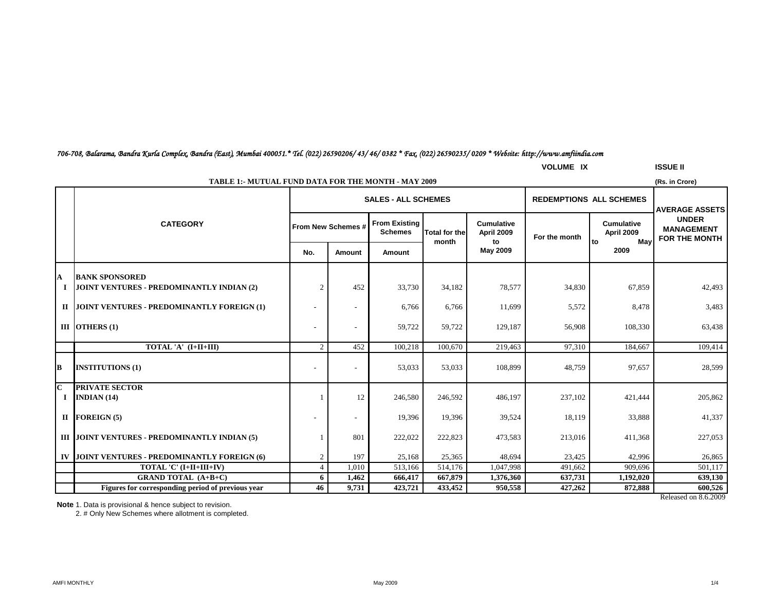# *706-708, Balarama, Bandra Kurla Complex, Bandra (East), Mumbai 400051.\* Tel. (022) 26590206/ 43/ 46/ 0382 \* Fax. (022) 26590235/ 0209 \* Website: http://www.amfiindia.com*

**VOLUME IX ISSUE II**

|                | <b>TABLE 1:- MUTUAL FUND DATA FOR THE MONTH - MAY 2009</b><br>(Rs. in Crore) |                |                                |                                        |                               |                                 |               |                                                       |                                                    |  |
|----------------|------------------------------------------------------------------------------|----------------|--------------------------------|----------------------------------------|-------------------------------|---------------------------------|---------------|-------------------------------------------------------|----------------------------------------------------|--|
|                |                                                                              |                | <b>REDEMPTIONS ALL SCHEMES</b> | <b>AVERAGE ASSETS</b>                  |                               |                                 |               |                                                       |                                                    |  |
|                | <b>CATEGORY</b>                                                              |                | From New Schemes #             | <b>From Existing</b><br><b>Schemes</b> | <b>Total for the</b><br>month | <b>Cumulative</b><br>April 2009 | For the month | <b>Cumulative</b><br><b>April 2009</b><br>Mav<br>l to | <b>UNDER</b><br><b>MANAGEMENT</b><br>FOR THE MONTH |  |
|                |                                                                              | No.            | Amount                         | Amount                                 |                               | to<br>May 2009                  |               | 2009                                                  |                                                    |  |
| A              | <b>BANK SPONSORED</b>                                                        |                |                                |                                        |                               |                                 |               |                                                       |                                                    |  |
|                | JOINT VENTURES - PREDOMINANTLY INDIAN (2)                                    | $\overline{2}$ | 452                            | 33,730                                 | 34,182                        | 78,577                          | 34,830        | 67,859                                                | 42,493                                             |  |
|                | II JOINT VENTURES - PREDOMINANTLY FOREIGN (1)                                |                | $\overline{\phantom{a}}$       | 6,766                                  | 6,766                         | 11,699                          | 5,572         | 8,478                                                 | 3,483                                              |  |
|                | III $OTHERS(1)$                                                              |                | $\overline{a}$                 | 59,722                                 | 59,722                        | 129,187                         | 56,908        | 108,330                                               | 63,438                                             |  |
|                | TOTAL 'A' (I+II+III)                                                         | $\overline{2}$ | 452                            | 100,218                                | 100,670                       | 219,463                         | 97,310        | 184,667                                               | 109,414                                            |  |
| B              | <b>INSTITUTIONS (1)</b>                                                      |                |                                | 53,033                                 | 53,033                        | 108,899                         | 48,759        | 97,657                                                | 28,599                                             |  |
| $\overline{c}$ | <b>PRIVATE SECTOR</b>                                                        |                |                                |                                        |                               |                                 |               |                                                       |                                                    |  |
| Т.             | INDIAN $(14)$                                                                |                | 12                             | 246,580                                | 246,592                       | 486,197                         | 237,102       | 421,444                                               | 205,862                                            |  |
|                | $II$ FOREIGN (5)                                                             |                |                                | 19,396                                 | 19,396                        | 39,524                          | 18,119        | 33,888                                                | 41,337                                             |  |
|                | III JOINT VENTURES - PREDOMINANTLY INDIAN (5)                                |                | 801                            | 222,022                                | 222,823                       | 473,583                         | 213,016       | 411,368                                               | 227,053                                            |  |
|                | IV JOINT VENTURES - PREDOMINANTLY FOREIGN (6)                                | $\overline{2}$ | 197                            | 25,168                                 | 25,365                        | 48,694                          | 23,425        | 42,996                                                | 26,865                                             |  |
|                | TOTAL 'C' (I+II+III+IV)                                                      | $\overline{4}$ | 1,010                          | 513,166                                | 514,176                       | 1,047,998                       | 491,662       | 909.696                                               | 501,117                                            |  |
|                | <b>GRAND TOTAL (A+B+C)</b>                                                   | 6              | 1,462                          | 666,417                                | 667,879                       | 1,376,360                       | 637,731       | 1,192,020                                             | 639,130                                            |  |
|                | Figures for corresponding period of previous year                            | 46             | 9.731                          | 423,721                                | 433,452                       | 950,558                         | 427,262       | 872,888                                               | 600,526                                            |  |

Released on 8.6.2009

**Note** 1. Data is provisional & hence subject to revision.

2. # Only New Schemes where allotment is completed.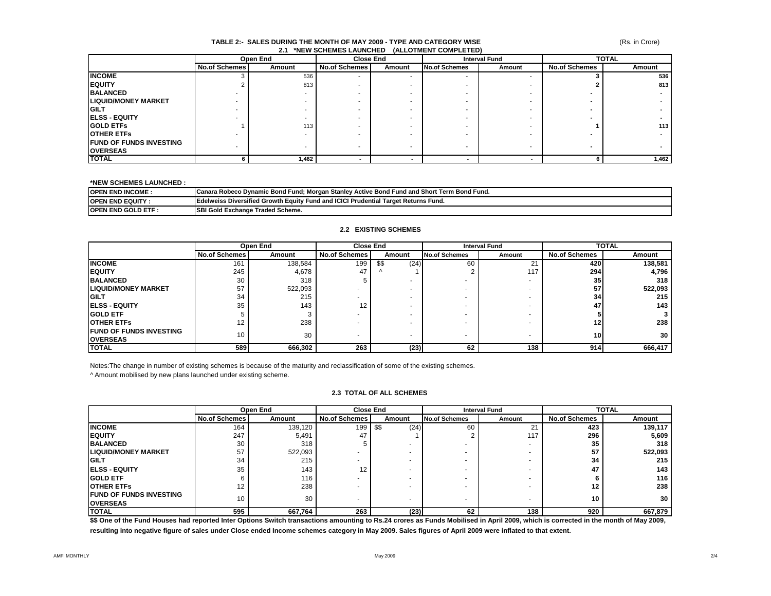#### (Rs. in Crore)

#### **TABLE 2:- SALES DURING THE MONTH OF MAY 2009 - TYPE AND CATEGORY WISE 2.1 \*NEW SCHEMES LAUNCHED (ALLOTMENT COMPLETED)**

|                                 |                      | Open End | <b>Close End</b>     |        |               | <b>Interval Fund</b> | <b>TOTAL</b>         |        |
|---------------------------------|----------------------|----------|----------------------|--------|---------------|----------------------|----------------------|--------|
|                                 | <b>No.of Schemes</b> | Amount   | <b>No.of Schemes</b> | Amount | No.of Schemes | Amount               | <b>No.of Schemes</b> | Amount |
| <b>INCOME</b>                   |                      | 536      |                      |        |               | -                    |                      | 536    |
| <b>IEQUITY</b>                  |                      | 813      |                      |        |               |                      |                      | 813    |
| <b>BALANCED</b>                 |                      |          |                      |        |               |                      |                      |        |
| <b>LIQUID/MONEY MARKET</b>      |                      |          |                      |        |               |                      |                      |        |
| <b>IGILT</b>                    |                      |          |                      |        |               |                      |                      |        |
| <b>IELSS - EQUITY</b>           |                      |          |                      |        |               |                      |                      |        |
| <b>IGOLD ETFS</b>               |                      | 113      |                      |        |               |                      |                      | 113    |
| <b>IOTHER ETFS</b>              |                      |          |                      |        |               |                      |                      |        |
| <b>IFUND OF FUNDS INVESTING</b> |                      |          |                      |        |               |                      |                      |        |
| <b>OVERSEAS</b>                 |                      |          |                      |        |               |                      |                      |        |
| <b>TOTAL</b>                    |                      | 1,462    |                      |        |               |                      |                      | 1,462  |

#### **\*NEW SCHEMES LAUNCHED :**

| <b>JOPEN END INCOME.</b>             | / Morgan Stanlev :<br>Term Bond Fund.<br>v Active Bond Fund and Short<br>⊦Robeco Dvnamic Bond I<br>Fund<br>Canara |
|--------------------------------------|-------------------------------------------------------------------------------------------------------------------|
| <b>IOPEN</b><br><b>END EQUITY</b>    | Edelweiss Diversified Growth I<br>nd and ICICI Prudential<br><sup>1</sup> Target Returns Fund.<br>ı Eauitv Fund   |
| <b>IOPEN</b><br><b>END GOLD ETF:</b> | SBI<br>Traded Scheme.<br>' Gold Exchange                                                                          |

#### **2.2 EXISTING SCHEMES**

|                                                     | Open End        |         | <b>Close End</b>     |              | <b>Interval Fund</b> |                | <b>TOTAL</b>         |         |
|-----------------------------------------------------|-----------------|---------|----------------------|--------------|----------------------|----------------|----------------------|---------|
|                                                     | No.of Schemes   | Amount  | <b>No.of Schemes</b> | Amount       | <b>No.of Schemes</b> | Amount         | <b>No.of Schemes</b> | Amount  |
| <b>INCOME</b>                                       | 161             | 138,584 | 199                  | \$\$<br>(24) | 60                   | $\Omega$<br>∠∣ | 420                  | 138,581 |
| <b>IEQUITY</b>                                      | 245             | 4,678   | 47                   | $\sqrt{ }$   |                      | 117            | 294                  | 4,796   |
| <b>BALANCED</b>                                     | 30              | 318     |                      |              |                      |                | 35                   | 318     |
| <b>LIQUID/MONEY MARKET</b>                          | 57              | 522,093 |                      |              |                      |                | 57                   | 522,093 |
| <b>IGILT</b>                                        | 34              | 215     |                      |              |                      |                | 34                   | 215     |
| <b>IELSS - EQUITY</b>                               | 35              | 143     | 12                   |              |                      |                | 47                   | 143     |
| <b>IGOLD ETF</b>                                    |                 |         |                      |              |                      |                |                      |         |
| <b>OTHER ETFS</b>                                   | 12              | 238     |                      |              |                      |                | 12                   | 238     |
| <b>IFUND OF FUNDS INVESTING</b><br><b>IOVERSEAS</b> | 10 <sup>1</sup> | 30      |                      |              |                      |                | 10 <sup>1</sup>      | 30      |
| <b>TOTAL</b>                                        | 589             | 666,302 | 263                  | (23)         | 62                   | 138            | 914                  | 666,417 |

Notes:The change in number of existing schemes is because of the maturity and reclassification of some of the existing schemes.

^ Amount mobilised by new plans launched under existing scheme.

#### **2.3 TOTAL OF ALL SCHEMES**

|                                                   | Open End             |         | <b>Close End</b>     |                          | <b>Interval Fund</b>     |               | <b>TOTAL</b>         |         |
|---------------------------------------------------|----------------------|---------|----------------------|--------------------------|--------------------------|---------------|----------------------|---------|
|                                                   | <b>No.of Schemes</b> | Amount  | <b>No.of Schemes</b> | Amount                   | <b>No.of Schemes</b>     | Amount        | <b>No.of Schemes</b> | Amount  |
| <b>INCOME</b>                                     | 164                  | 139,120 | 199                  | \$\$<br>(24)             | 60                       | $\sim$<br>∠ । | 423                  | 139,117 |
| <b>IEQUITY</b>                                    | 247                  | 5,491   | 47                   |                          |                          | 117           | 296                  | 5,609   |
| <b>BALANCED</b>                                   | 30                   | 318     |                      |                          | -                        |               | 35                   | 318     |
| <b>LIQUID/MONEY MARKET</b>                        | 57                   | 522,093 |                      |                          |                          |               | 57                   | 522,093 |
| <b>GILT</b>                                       | 34                   | 215     |                      |                          |                          |               | 34                   | 215     |
| <b>IELSS - EQUITY</b>                             | 35                   | 143     | 12                   |                          |                          |               | 47                   | 143     |
| <b>GOLD ETF</b>                                   |                      | 116     |                      |                          |                          |               |                      | 116     |
| <b>OTHER ETFS</b>                                 | 12                   | 238     |                      | $\overline{\phantom{a}}$ | -                        |               | 12                   | 238     |
| <b>FUND OF FUNDS INVESTING</b><br><b>OVERSEAS</b> | 10                   | 30      |                      |                          | $\overline{\phantom{a}}$ |               | 10                   | 30      |
| <b>TOTAL</b>                                      | 595                  | 667,764 | 263                  | (23)                     | 62                       | 138           | 920                  | 667,879 |

\$\$ One of the Fund Houses had reported Inter Options Switch transactions amounting to Rs.24 crores as Funds Mobilised in April 2009, which is corrected in the month of May 2009, **resulting into negative figure of sales under Close ended Income schemes category in May 2009. Sales figures of April 2009 were inflated to that extent.**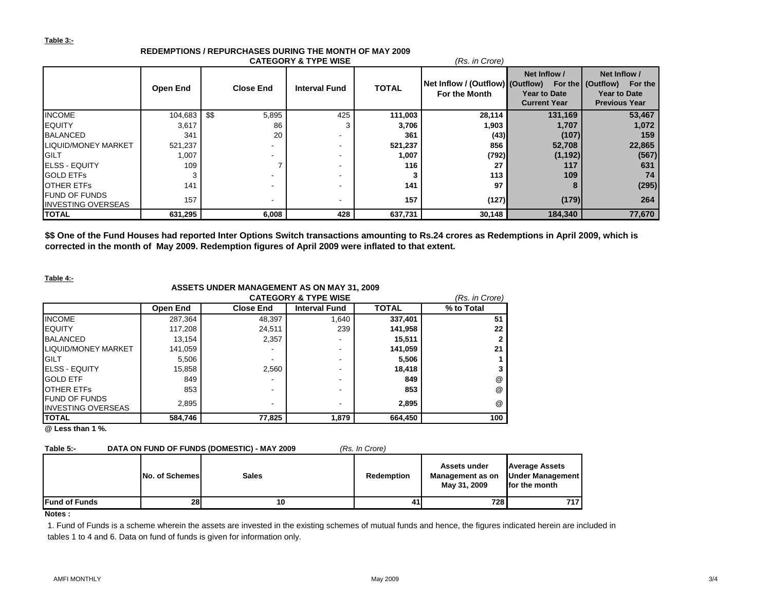#### **Table 3:-**

|                                                    |                 |      |                  | <b>CATEGORY &amp; TYPE WISE</b> |              | (Rs. in Crore)                                    |                                                            |                                                                                              |
|----------------------------------------------------|-----------------|------|------------------|---------------------------------|--------------|---------------------------------------------------|------------------------------------------------------------|----------------------------------------------------------------------------------------------|
|                                                    | <b>Open End</b> |      | <b>Close End</b> | <b>Interval Fund</b>            | <b>TOTAL</b> | Net Inflow / (Outflow) (Outflow)<br>For the Month | Net Inflow /<br><b>Year to Date</b><br><b>Current Year</b> | Net Inflow /<br>For the ▌(Outflow)<br>For the<br><b>Year to Date</b><br><b>Previous Year</b> |
| <b>INCOME</b>                                      | 104,683         | \$\$ | 5,895            | 425                             | 111,003      | 28,114                                            | 131,169                                                    | 53,467                                                                                       |
| <b>EQUITY</b>                                      | 3,617           |      | 86               |                                 | 3,706        | 1,903                                             | 1,707                                                      | 1,072                                                                                        |
| <b>BALANCED</b>                                    | 341             |      | 20               |                                 | 361          | (43)                                              | (107)                                                      | 159                                                                                          |
| LIQUID/MONEY MARKET                                | 521,237         |      |                  | -                               | 521,237      | 856                                               | 52,708                                                     | 22,865                                                                                       |
| <b>GILT</b>                                        | 1,007           |      |                  | $\overline{\phantom{a}}$        | 1,007        | (792)                                             | (1, 192)                                                   | (567)                                                                                        |
| <b>IELSS - EQUITY</b>                              | 109             |      |                  | $\overline{\phantom{0}}$        | 116          | 27                                                | 117                                                        | 631                                                                                          |
| <b>GOLD ETFS</b>                                   |                 |      |                  | $\overline{\phantom{0}}$        |              | 113                                               | 109                                                        | 74                                                                                           |
| <b>OTHER ETFS</b>                                  | 141             |      |                  | $\overline{\phantom{0}}$        | 141          | 97                                                |                                                            | (295)                                                                                        |
| <b>IFUND OF FUNDS</b><br><b>INVESTING OVERSEAS</b> | 157             |      |                  |                                 | 157          | (127)                                             | (179)                                                      | 264                                                                                          |
| <b>TOTAL</b>                                       | 631,295         |      | 6,008            | 428                             | 637,731      | 30,148                                            | 184,340                                                    | 77,670                                                                                       |

# **REDEMPTIONS / REPURCHASES DURING THE MONTH OF MAY 2009**

**\$\$ One of the Fund Houses had reported Inter Options Switch transactions amounting to Rs.24 crores as Redemptions in April 2009, which is corrected in the month of May 2009. Redemption figures of April 2009 were inflated to that extent.**

### **Table 4:-**

# **ASSETS UNDER MANAGEMENT AS ON MAY 31, 2009**

|                                                    | <b>CATEGORY &amp; TYPE WISE</b><br>(Rs. in Crore) |                          |                      |              |            |  |  |
|----------------------------------------------------|---------------------------------------------------|--------------------------|----------------------|--------------|------------|--|--|
|                                                    | Open End                                          | <b>Close End</b>         | <b>Interval Fund</b> | <b>TOTAL</b> | % to Total |  |  |
| <b>INCOME</b>                                      | 287,364                                           | 48,397                   | 1,640                | 337,401      | 51         |  |  |
| <b>EQUITY</b>                                      | 117,208                                           | 24,511                   | 239                  | 141,958      | 22         |  |  |
| <b>BALANCED</b>                                    | 13,154                                            | 2,357                    | -                    | 15,511       | 2          |  |  |
| <b>LIQUID/MONEY MARKET</b>                         | 141,059                                           |                          | -                    | 141,059      | 21         |  |  |
| <b>GILT</b>                                        | 5,506                                             |                          | -                    | 5,506        |            |  |  |
| <b>ELSS - EQUITY</b>                               | 15,858                                            | 2,560                    | -                    | 18,418       |            |  |  |
| <b>GOLD ETF</b>                                    | 849                                               | $\overline{\phantom{0}}$ | -                    | 849          | @          |  |  |
| <b>OTHER ETFS</b>                                  | 853                                               | $\overline{\phantom{0}}$ | -                    | 853          | @          |  |  |
| <b>IFUND OF FUNDS</b><br><b>INVESTING OVERSEAS</b> | 2,895                                             |                          | -                    | 2,895        | @          |  |  |
| <b>TOTAL</b>                                       | 584,746                                           | 77,825                   | 1,879                | 664,450      | 100        |  |  |

**@ Less than 1 %.**

## **Table 5:- DATA ON FUND OF FUNDS (DOMESTIC) - MAY 2009** *(Rs. In Crore)*

|                       | No. of Schemes | <b>Sales</b> | <b>Redemption</b> | Assets under<br>Management as on<br>May 31, 2009 | <b>Average Assets</b><br>Under Management<br>for the month |
|-----------------------|----------------|--------------|-------------------|--------------------------------------------------|------------------------------------------------------------|
| <b>IFund of Funds</b> | 28             | 10           | 41                | 728 I                                            | 717 I                                                      |

**Notes :**

1. Fund of Funds is a scheme wherein the assets are invested in the existing schemes of mutual funds and hence, the figures indicated herein are included in tables 1 to 4 and 6. Data on fund of funds is given for information only.